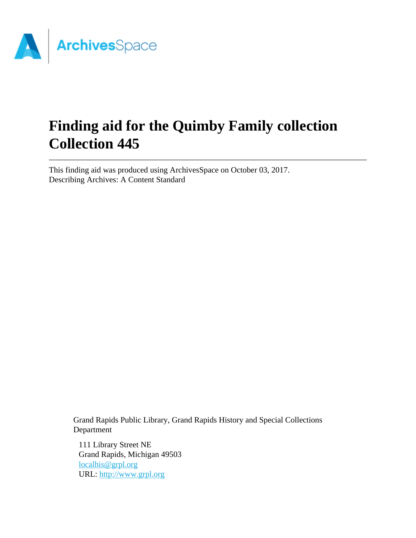

# **Finding aid for the Quimby Family collection Collection 445**

This finding aid was produced using ArchivesSpace on October 03, 2017. Describing Archives: A Content Standard

> Grand Rapids Public Library, Grand Rapids History and Special Collections Department

111 Library Street NE Grand Rapids, Michigan 49503 [localhis@grpl.org](mailto:localhis@grpl.org) URL:<http://www.grpl.org>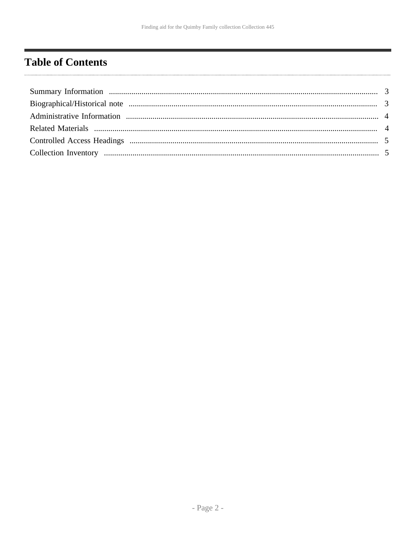# <span id="page-1-0"></span>**Table of Contents**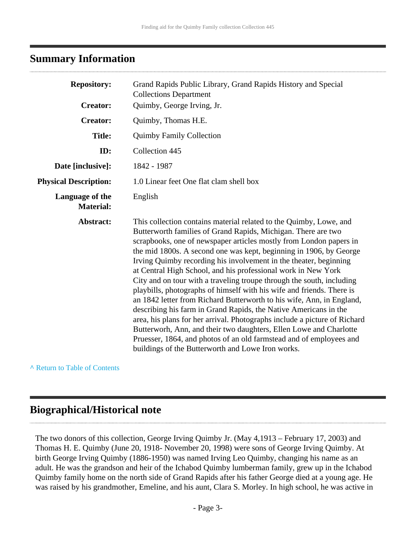### <span id="page-2-0"></span>**Summary Information**

| <b>Repository:</b>                  | Grand Rapids Public Library, Grand Rapids History and Special<br><b>Collections Department</b>                                                                                                                                                                                                                                                                                                                                                                                                                                                                                                                                                                                                                                                                                                                                                                                                                                                                                                      |
|-------------------------------------|-----------------------------------------------------------------------------------------------------------------------------------------------------------------------------------------------------------------------------------------------------------------------------------------------------------------------------------------------------------------------------------------------------------------------------------------------------------------------------------------------------------------------------------------------------------------------------------------------------------------------------------------------------------------------------------------------------------------------------------------------------------------------------------------------------------------------------------------------------------------------------------------------------------------------------------------------------------------------------------------------------|
| <b>Creator:</b>                     | Quimby, George Irving, Jr.                                                                                                                                                                                                                                                                                                                                                                                                                                                                                                                                                                                                                                                                                                                                                                                                                                                                                                                                                                          |
| <b>Creator:</b>                     | Quimby, Thomas H.E.                                                                                                                                                                                                                                                                                                                                                                                                                                                                                                                                                                                                                                                                                                                                                                                                                                                                                                                                                                                 |
| <b>Title:</b>                       | <b>Quimby Family Collection</b>                                                                                                                                                                                                                                                                                                                                                                                                                                                                                                                                                                                                                                                                                                                                                                                                                                                                                                                                                                     |
| ID:                                 | Collection 445                                                                                                                                                                                                                                                                                                                                                                                                                                                                                                                                                                                                                                                                                                                                                                                                                                                                                                                                                                                      |
| Date [inclusive]:                   | 1842 - 1987                                                                                                                                                                                                                                                                                                                                                                                                                                                                                                                                                                                                                                                                                                                                                                                                                                                                                                                                                                                         |
| <b>Physical Description:</b>        | 1.0 Linear feet One flat clam shell box                                                                                                                                                                                                                                                                                                                                                                                                                                                                                                                                                                                                                                                                                                                                                                                                                                                                                                                                                             |
| Language of the<br><b>Material:</b> | English                                                                                                                                                                                                                                                                                                                                                                                                                                                                                                                                                                                                                                                                                                                                                                                                                                                                                                                                                                                             |
| Abstract:                           | This collection contains material related to the Quimby, Lowe, and<br>Butterworth families of Grand Rapids, Michigan. There are two<br>scrapbooks, one of newspaper articles mostly from London papers in<br>the mid 1800s. A second one was kept, beginning in 1906, by George<br>Irving Quimby recording his involvement in the theater, beginning<br>at Central High School, and his professional work in New York<br>City and on tour with a traveling troupe through the south, including<br>playbills, photographs of himself with his wife and friends. There is<br>an 1842 letter from Richard Butterworth to his wife, Ann, in England,<br>describing his farm in Grand Rapids, the Native Americans in the<br>area, his plans for her arrival. Photographs include a picture of Richard<br>Butterworh, Ann, and their two daughters, Ellen Lowe and Charlotte<br>Pruesser, 1864, and photos of an old farmstead and of employees and<br>buildings of the Butterworth and Lowe Iron works. |

**^** [Return to Table of Contents](#page-1-0)

### <span id="page-2-1"></span>**Biographical/Historical note**

The two donors of this collection, George Irving Quimby Jr. (May 4,1913 – February 17, 2003) and Thomas H. E. Quimby (June 20, 1918- November 20, 1998) were sons of George Irving Quimby. At birth George Irving Quimby (1886-1950) was named Irving Leo Quimby, changing his name as an adult. He was the grandson and heir of the Ichabod Quimby lumberman family, grew up in the Ichabod Quimby family home on the north side of Grand Rapids after his father George died at a young age. He was raised by his grandmother, Emeline, and his aunt, Clara S. Morley. In high school, he was active in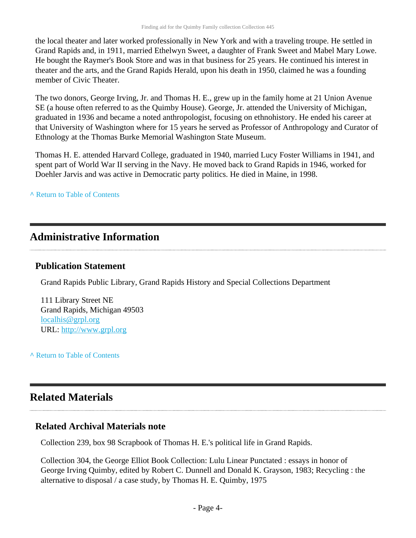the local theater and later worked professionally in New York and with a traveling troupe. He settled in Grand Rapids and, in 1911, married Ethelwyn Sweet, a daughter of Frank Sweet and Mabel Mary Lowe. He bought the Raymer's Book Store and was in that business for 25 years. He continued his interest in theater and the arts, and the Grand Rapids Herald, upon his death in 1950, claimed he was a founding member of Civic Theater.

The two donors, George Irving, Jr. and Thomas H. E., grew up in the family home at 21 Union Avenue SE (a house often referred to as the Quimby House). George, Jr. attended the University of Michigan, graduated in 1936 and became a noted anthropologist, focusing on ethnohistory. He ended his career at that University of Washington where for 15 years he served as Professor of Anthropology and Curator of Ethnology at the Thomas Burke Memorial Washington State Museum.

Thomas H. E. attended Harvard College, graduated in 1940, married Lucy Foster Williams in 1941, and spent part of World War II serving in the Navy. He moved back to Grand Rapids in 1946, worked for Doehler Jarvis and was active in Democratic party politics. He died in Maine, in 1998.

**^** [Return to Table of Contents](#page-1-0)

### <span id="page-3-0"></span>**Administrative Information**

#### **Publication Statement**

Grand Rapids Public Library, Grand Rapids History and Special Collections Department

111 Library Street NE Grand Rapids, Michigan 49503 [localhis@grpl.org](mailto:localhis@grpl.org) URL:<http://www.grpl.org>

**^** [Return to Table of Contents](#page-1-0)

# <span id="page-3-1"></span>**Related Materials**

#### **Related Archival Materials note**

Collection 239, box 98 Scrapbook of Thomas H. E.'s political life in Grand Rapids.

Collection 304, the George Elliot Book Collection: Lulu Linear Punctated : essays in honor of George Irving Quimby, edited by Robert C. Dunnell and Donald K. Grayson, 1983; Recycling : the alternative to disposal / a case study, by Thomas H. E. Quimby, 1975